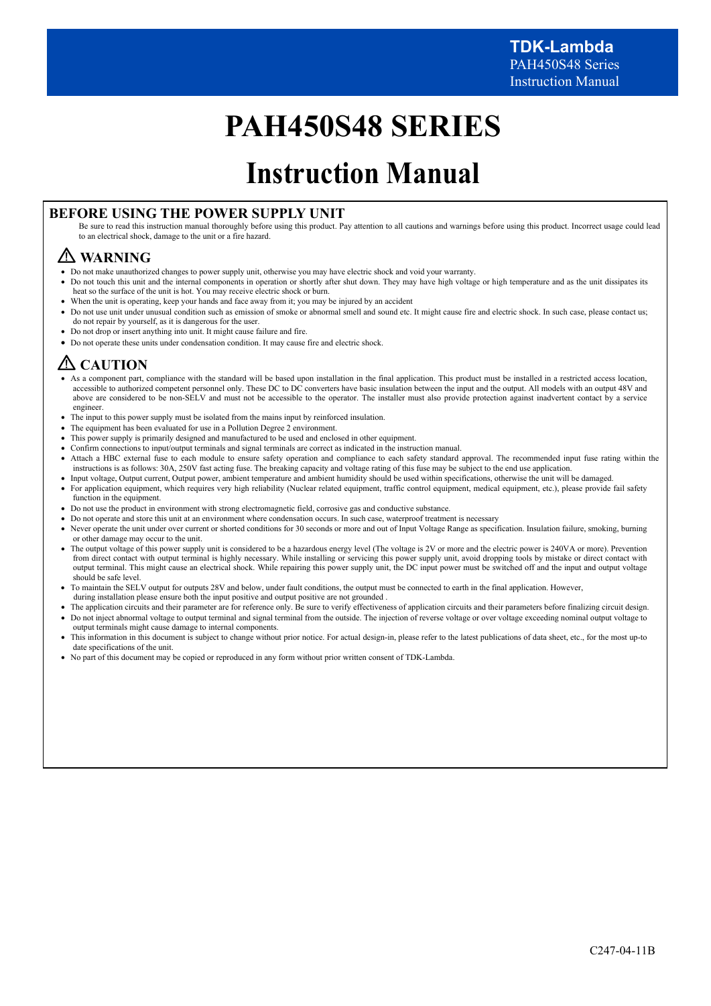# **PAH450S48 SERIES**

# **Instruction Manual**

## **BEFORE USING THE POWER SUPPLY UNIT**

Be sure to read this instruction manual thoroughly before using this product. Pay attention to all cautions and warnings before using this product. Incorrect usage could lead to an electrical shock, damage to the unit or a fire hazard.

## **WARNING**

- Do not make unauthorized changes to power supply unit, otherwise you may have electric shock and void your warranty.
- Do not touch this unit and the internal components in operation or shortly after shut down. They may have high voltage or high temperature and as the unit dissipates its heat so the surface of the unit is hot. You may receive electric shock or burn.
- When the unit is operating, keep your hands and face away from it; you may be injured by an accident
- Do not use unit under unusual condition such as emission of smoke or abnormal smell and sound etc. It might cause fire and electric shock. In such case, please contact us; do not repair by yourself, as it is dangerous for the user.
- Do not drop or insert anything into unit. It might cause failure and fire.
- Do not operate these units under condensation condition. It may cause fire and electric shock.

## **CAUTION**

- As a component part, compliance with the standard will be based upon installation in the final application. This product must be installed in a restricted access location, accessible to authorized competent personnel only. These DC to DC converters have basic insulation between the input and the output. All models with an output 48V and above are considered to be non-SELV and must not be accessible to the operator. The installer must also provide protection against inadvertent contact by a service engineer
- The input to this power supply must be isolated from the mains input by reinforced insulation.
- The equipment has been evaluated for use in a Pollution Degree 2 environment.
- This power supply is primarily designed and manufactured to be used and enclosed in other equipment.
- Confirm connections to input/output terminals and signal terminals are correct as indicated in the instruction manual.
- Attach a HBC external fuse to each module to ensure safety operation and compliance to each safety standard approval. The recommended input fuse rating within the instructions is as follows: 30A, 250V fast acting fuse. The breaking capacity and voltage rating of this fuse may be subject to the end use application.
- Input voltage, Output current, Output power, ambient temperature and ambient humidity should be used within specifications, otherwise the unit will be damaged. For application equipment, which requires very high reliability (Nuclear related equipment, traffic control equipment, medical equipment, etc.), please provide fail safety
- function in the equipment. Do not use the product in environment with strong electromagnetic field, corrosive gas and conductive substance.
- Do not operate and store this unit at an environment where condensation occurs. In such case, waterproof treatment is necessary
- Never operate the unit under over current or shorted conditions for 30 seconds or more and out of Input Voltage Range as specification. Insulation failure, smoking, burning or other damage may occur to the unit.
- The output voltage of this power supply unit is considered to be a hazardous energy level (The voltage is 2V or more and the electric power is 240VA or more). Prevention from direct contact with output terminal is highly necessary. While installing or servicing this power supply unit, avoid dropping tools by mistake or direct contact with output terminal. This might cause an electrical shock. While repairing this power supply unit, the DC input power must be switched off and the input and output voltage should be safe level.
- To maintain the SELV output for outputs 28V and below, under fault conditions, the output must be connected to earth in the final application. However,
- during installation please ensure both the input positive and output positive are not grounded .
- The application circuits and their parameter are for reference only. Be sure to verify effectiveness of application circuits and their parameters before finalizing circuit design.
- Do not inject abnormal voltage to output terminal and signal terminal from the outside. The injection of reverse voltage or over voltage exceeding nominal output voltage to output terminals might cause damage to internal components.
- This information in this document is subject to change without prior notice. For actual design-in, please refer to the latest publications of data sheet, etc., for the most up-to date specifications of the unit.
- No part of this document may be copied or reproduced in any form without prior written consent of TDK-Lambda.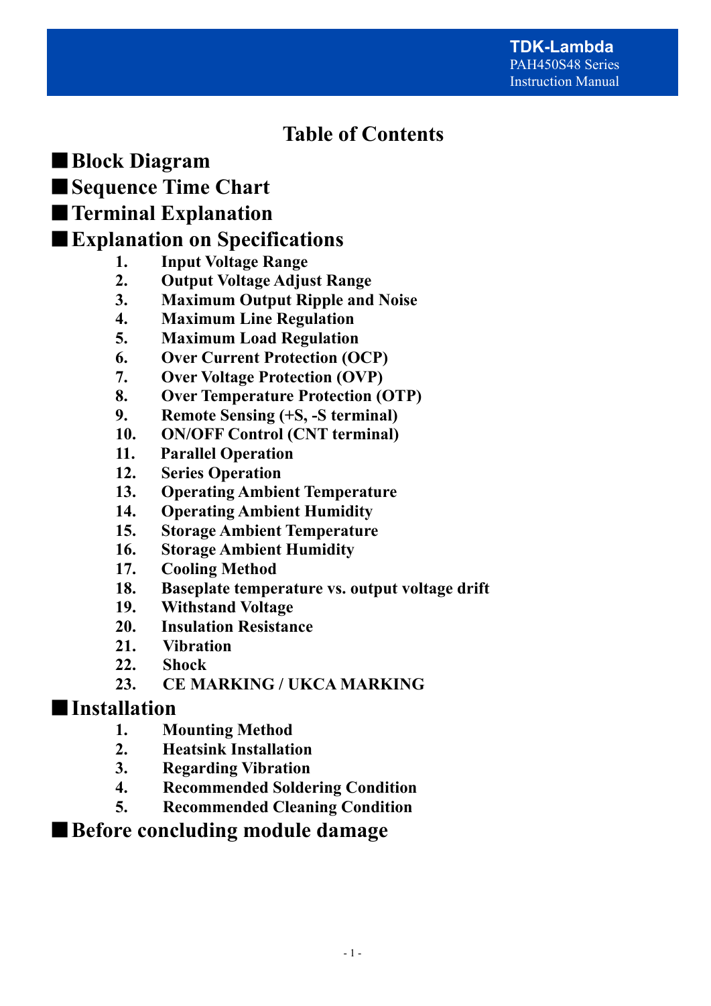## **Table of Contents**

■**Block Diagram** 

■**Sequence Time Chart** 

## ■**Terminal Explanation**

## ■**Explanation on Specifications**

- **1. Input Voltage Range**
- **2. Output Voltage Adjust Range**
- **3. Maximum Output Ripple and Noise**
- **4. Maximum Line Regulation**
- **5. Maximum Load Regulation**
- **6. Over Current Protection (OCP)**
- **7. Over Voltage Protection (OVP)**
- **8. Over Temperature Protection (OTP)**
- **9. Remote Sensing (+S, -S terminal)**
- **10. ON/OFF Control (CNT terminal)**
- **11. Parallel Operation**
- **12. Series Operation**
- **13. Operating Ambient Temperature**
- **14. Operating Ambient Humidity**
- **15. Storage Ambient Temperature**
- **16. Storage Ambient Humidity**
- **17. Cooling Method**
- **18. Baseplate temperature vs. output voltage drift**
- **19. Withstand Voltage**
- **20. Insulation Resistance**
- **21. Vibration**
- **22. Shock**
- **23. CE MARKING / UKCA MARKING**

## ■**Installation**

- **1. Mounting Method**
- **2. Heatsink Installation**
- **3. Regarding Vibration**
- **4. Recommended Soldering Condition**
- **5. Recommended Cleaning Condition**

## ■ Before concluding module damage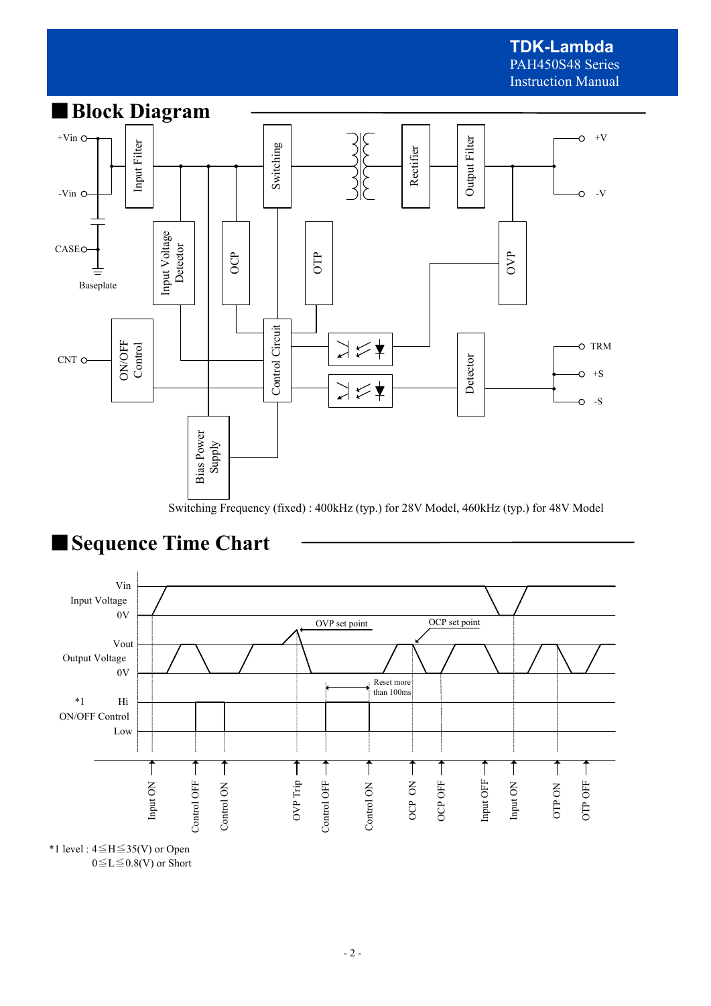

Switching Frequency (fixed) : 400kHz (typ.) for 28V Model, 460kHz (typ.) for 48V Model





<sup>\*1</sup> level : 4≦H≦35(V) or Open  $0 \le L \le 0.8$ (V) or Short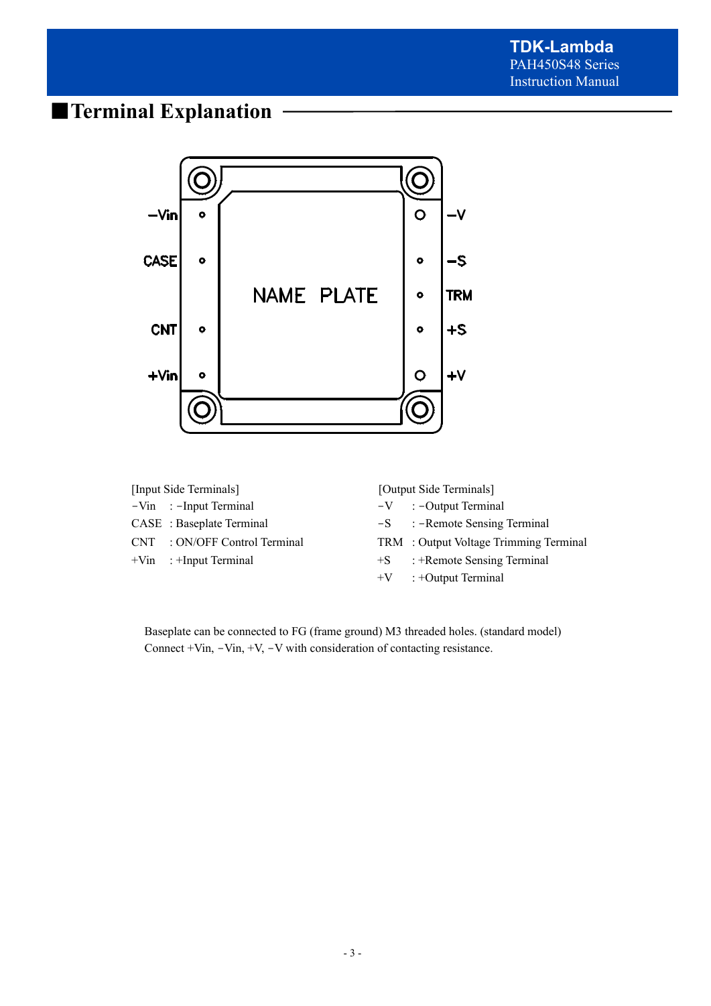## ■**Terminal Explanation**



| [Input Side Terminals] |                               | [Output Side Terminals] |                                        |  |
|------------------------|-------------------------------|-------------------------|----------------------------------------|--|
|                        | $-Vin$ : -Input Terminal      |                         | $-V$ : -Output Terminal                |  |
|                        | CASE : Baseplate Terminal     |                         | $-S$ : $-R$ emote Sensing Terminal     |  |
|                        | CNT : ON/OFF Control Terminal |                         | TRM : Output Voltage Trimming Terminal |  |
|                        | $+V$ in : $+$ Input Terminal  |                         | $+S$ : +Remote Sensing Terminal        |  |
|                        |                               |                         | $+V$ : +Output Terminal                |  |

Baseplate can be connected to FG (frame ground) M3 threaded holes. (standard model) Connect +Vin, -Vin, +V, -V with consideration of contacting resistance.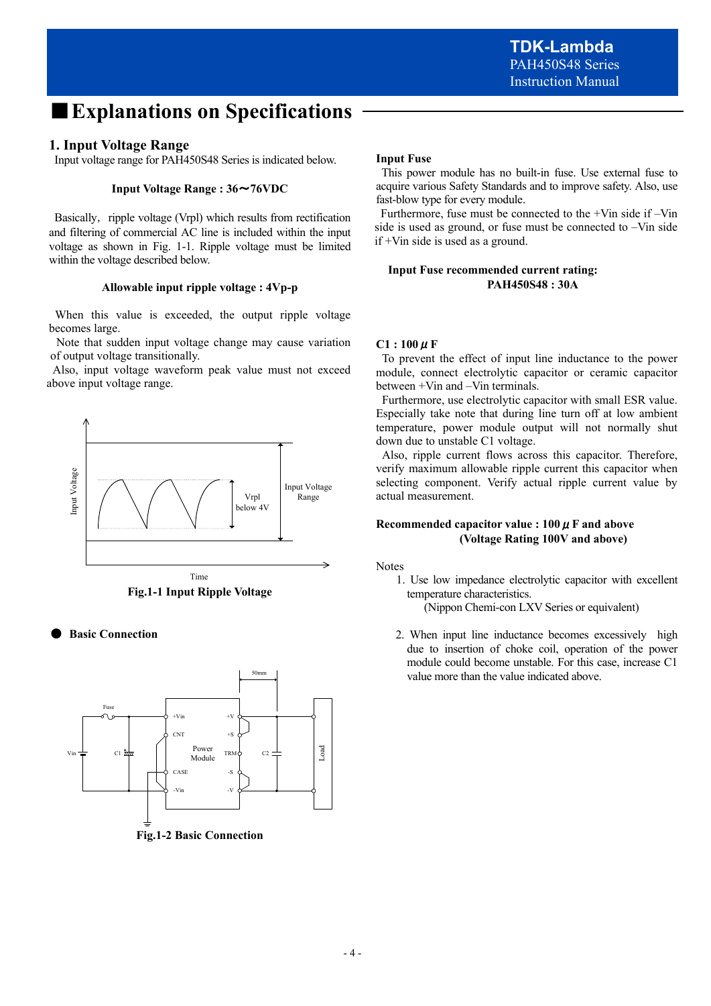## ■**Explanations on Specifications**

### **1. Input Voltage Range**

Input voltage range for PAH450S48 Series is indicated below.

#### **Input Voltage Range : 36**~**76VDC**

Basically, ripple voltage (Vrpl) which results from rectification and filtering of commercial AC line is included within the input voltage as shown in Fig. 1-1. Ripple voltage must be limited within the voltage described below.

#### **Allowable input ripple voltage : 4Vp-p**

When this value is exceeded, the output ripple voltage becomes large.

 Note that sudden input voltage change may cause variation of output voltage transitionally.

 Also, input voltage waveform peak value must not exceed above input voltage range.





**Basic Connection** 



**Fig.1-2 Basic Connection** 

#### **Input Fuse**

 This power module has no built-in fuse. Use external fuse to acquire various Safety Standards and to improve safety. Also, use fast-blow type for every module.

 Furthermore, fuse must be connected to the +Vin side if –Vin side is used as ground, or fuse must be connected to –Vin side if +Vin side is used as a ground.

#### **Input Fuse recommended current rating: PAH450S48 : 30A**

#### $C1:100 \mu F$

 To prevent the effect of input line inductance to the power module, connect electrolytic capacitor or ceramic capacitor between +Vin and –Vin terminals.

 Furthermore, use electrolytic capacitor with small ESR value. Especially take note that during line turn off at low ambient temperature, power module output will not normally shut down due to unstable C1 voltage.

 Also, ripple current flows across this capacitor. Therefore, verify maximum allowable ripple current this capacitor when selecting component. Verify actual ripple current value by actual measurement.

#### **Recommended capacitor value : 100**μ**F and above (Voltage Rating 100V and above)**

Notes

1. Use low impedance electrolytic capacitor with excellent temperature characteristics.

(Nippon Chemi-con LXV Series or equivalent)

 2. When input line inductance becomes excessively high due to insertion of choke coil, operation of the power module could become unstable. For this case, increase C1 value more than the value indicated above.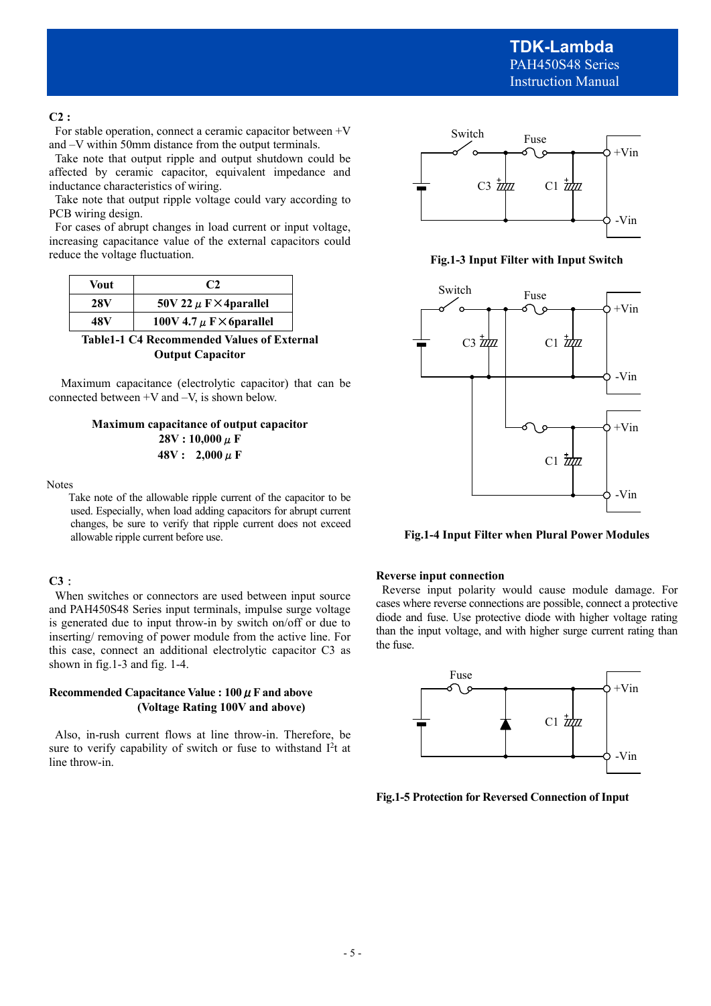#### **C2 :**

For stable operation, connect a ceramic capacitor between +V and –V within 50mm distance from the output terminals.

 Take note that output ripple and output shutdown could be affected by ceramic capacitor, equivalent impedance and inductance characteristics of wiring.

 Take note that output ripple voltage could vary according to PCB wiring design.

 For cases of abrupt changes in load current or input voltage, increasing capacitance value of the external capacitors could reduce the voltage fluctuation.

| <b>Vout</b> | C2                                   |
|-------------|--------------------------------------|
| 28V         | 50V 22 $\mu$ F $\times$ 4 parallel   |
| 48 V        | 100V 4.7 $\mu$ F $\times$ 6 parallel |

**Table1-1 C4 Recommended Values of External Output Capacitor** 

Maximum capacitance (electrolytic capacitor) that can be connected between +V and –V, is shown below.

#### **Maximum capacitance of output capacitor 28V : 10,000**μ**F 48V : 2,000**μ**F**

Notes

 Take note of the allowable ripple current of the capacitor to be used. Especially, when load adding capacitors for abrupt current changes, be sure to verify that ripple current does not exceed allowable ripple current before use.

#### **C3**:

When switches or connectors are used between input source and PAH450S48 Series input terminals, impulse surge voltage is generated due to input throw-in by switch on/off or due to inserting/ removing of power module from the active line. For this case, connect an additional electrolytic capacitor C3 as shown in fig.1-3 and fig. 1-4.

#### **Recommended Capacitance Value : 100**μ**F and above (Voltage Rating 100V and above)**

Also, in-rush current flows at line throw-in. Therefore, be sure to verify capability of switch or fuse to withstand  $I<sup>2</sup>t$  at line throw-in.



**Fig.1-3 Input Filter with Input Switch** 



**Fig.1-4 Input Filter when Plural Power Modules** 

#### **Reverse input connection**

 Reverse input polarity would cause module damage. For cases where reverse connections are possible, connect a protective diode and fuse. Use protective diode with higher voltage rating than the input voltage, and with higher surge current rating than the fuse.



**Fig.1-5 Protection for Reversed Connection of Input**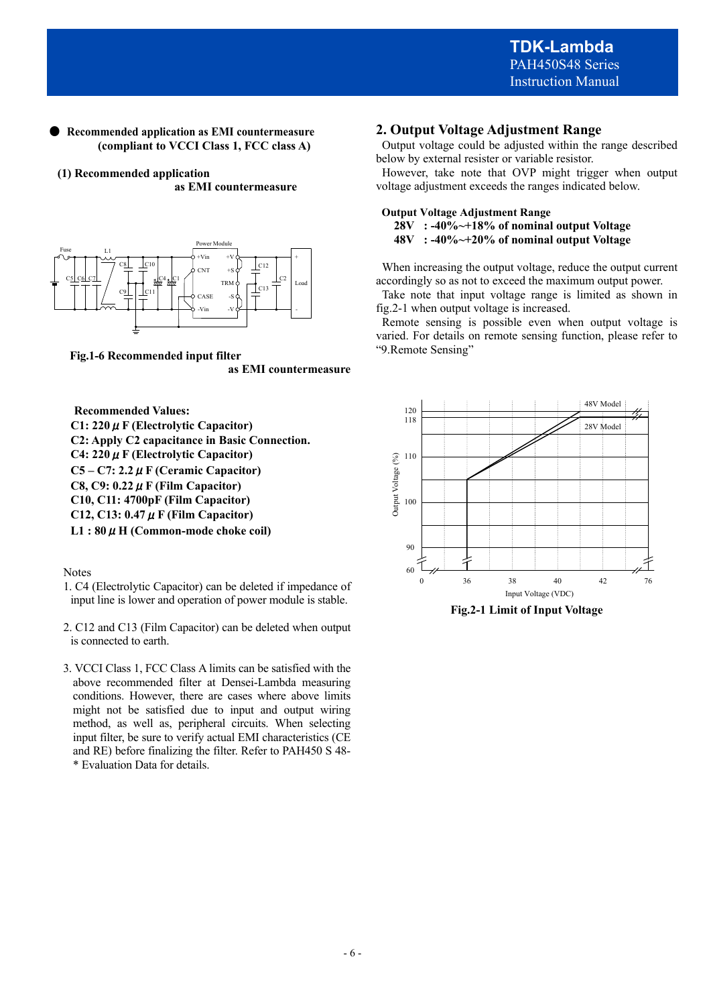#### **Recommended application as EMI countermeasure (compliant to VCCI Class 1, FCC class A)**

**(1) Recommended application as EMI countermeasure** 



**Fig.1-6 Recommended input filter as EMI countermeasure** 

**Recommended Values: C1: 220**μ**F (Electrolytic Capacitor) C2: Apply C2 capacitance in Basic Connection. C4: 220**μ**F (Electrolytic Capacitor) C5 – C7: 2.2**μ**F (Ceramic Capacitor) C8, C9: 0.22**μ**F (Film Capacitor) C10, C11: 4700pF (Film Capacitor) C12, C13: 0.47**μ**F (Film Capacitor) L1 : 80**μ**H (Common-mode choke coil)** 

Notes

- 1. C4 (Electrolytic Capacitor) can be deleted if impedance of input line is lower and operation of power module is stable.
- 2. C12 and C13 (Film Capacitor) can be deleted when output is connected to earth.
- 3. VCCI Class 1, FCC Class A limits can be satisfied with the above recommended filter at Densei-Lambda measuring conditions. However, there are cases where above limits might not be satisfied due to input and output wiring method, as well as, peripheral circuits. When selecting input filter, be sure to verify actual EMI characteristics (CE and RE) before finalizing the filter. Refer to PAH450 S 48- \* Evaluation Data for details.

## **2. Output Voltage Adjustment Range**

 Output voltage could be adjusted within the range described below by external resister or variable resistor.

 However, take note that OVP might trigger when output voltage adjustment exceeds the ranges indicated below.

### **Output Voltage Adjustment Range 28V : -40%~+18% of nominal output Voltage**

 **48V : -40%~+20% of nominal output Voltage** 

 When increasing the output voltage, reduce the output current accordingly so as not to exceed the maximum output power.

 Take note that input voltage range is limited as shown in fig.2-1 when output voltage is increased.

 Remote sensing is possible even when output voltage is varied. For details on remote sensing function, please refer to "9.Remote Sensing"



**Fig.2-1 Limit of Input Voltage**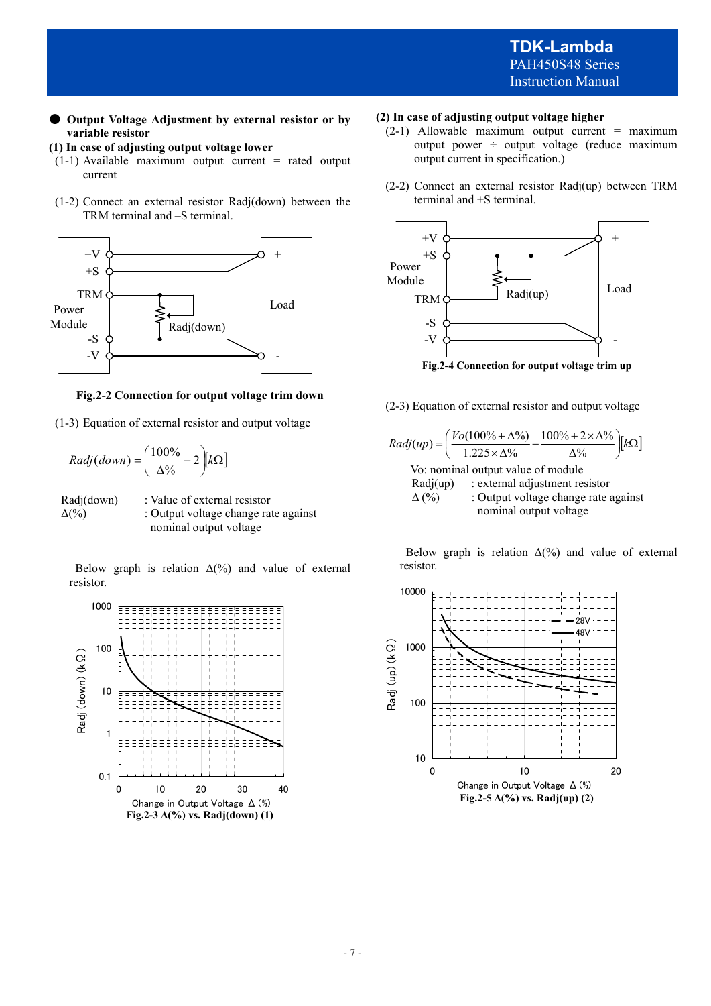● **Output Voltage Adjustment by external resistor or by variable resistor** 

**(1) In case of adjusting output voltage lower** 

- $(1-1)$  Available maximum output current = rated output current
- (1-2) Connect an external resistor Radj(down) between the TRM terminal and –S terminal.



#### **Fig.2-2 Connection for output voltage trim down**

(1-3) Equation of external resistor and output voltage

$$
Radj(down) = \left(\frac{100\%}{\Delta\%} - 2\right) k\Omega
$$

 Radj(down) : Value of external resistor  $\Delta(\%)$  : Output voltage change rate against nominal output voltage

Below graph is relation  $\Delta(\%)$  and value of external resistor.



#### **(2) In case of adjusting output voltage higher**

- $(2-1)$  Allowable maximum output current = maximum output power ÷ output voltage (reduce maximum output current in specification.)
- (2-2) Connect an external resistor Radj(up) between TRM terminal and +S terminal.



(2-3) Equation of external resistor and output voltage

Radj(up) = 
$$
\left(\frac{Vo(100\% + Δ\%)}{1.225 \times Δ\%} - \frac{100\% + 2 \times Δ\%}{Δ\%}\right)[kΩ]
$$
  
Vo: nominal output value of module  
Radj(up) : external adjustment resistor  
Δ (%) : Output voltage change rate against  
nominal output voltage

Below graph is relation  $\Delta(\%)$  and value of external resistor.

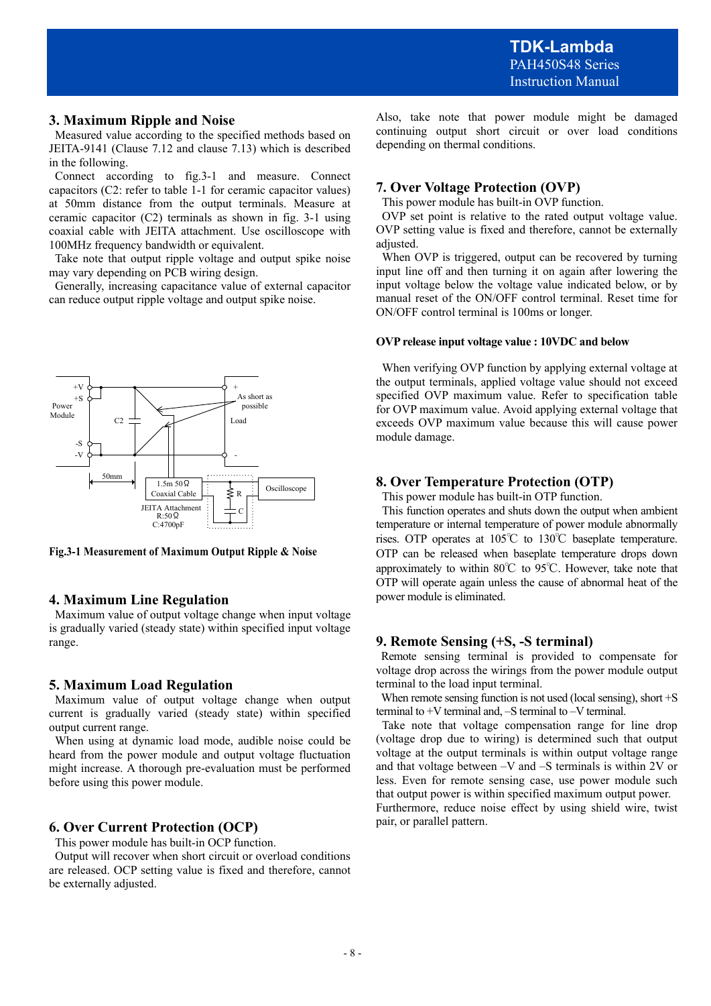### **3. Maximum Ripple and Noise**

 Measured value according to the specified methods based on JEITA-9141 (Clause 7.12 and clause 7.13) which is described in the following.

 Connect according to fig.3-1 and measure. Connect capacitors (C2: refer to table 1-1 for ceramic capacitor values) at 50mm distance from the output terminals. Measure at ceramic capacitor (C2) terminals as shown in fig. 3-1 using coaxial cable with JEITA attachment. Use oscilloscope with 100MHz frequency bandwidth or equivalent.

 Take note that output ripple voltage and output spike noise may vary depending on PCB wiring design.

 Generally, increasing capacitance value of external capacitor can reduce output ripple voltage and output spike noise.



**Fig.3-1 Measurement of Maximum Output Ripple & Noise** 

## **4. Maximum Line Regulation**

 Maximum value of output voltage change when input voltage is gradually varied (steady state) within specified input voltage range.

## **5. Maximum Load Regulation**

 Maximum value of output voltage change when output current is gradually varied (steady state) within specified output current range.

 When using at dynamic load mode, audible noise could be heard from the power module and output voltage fluctuation might increase. A thorough pre-evaluation must be performed before using this power module.

## **6. Over Current Protection (OCP)**

This power module has built-in OCP function.

 Output will recover when short circuit or overload conditions are released. OCP setting value is fixed and therefore, cannot be externally adjusted.

Also, take note that power module might be damaged continuing output short circuit or over load conditions depending on thermal conditions.

## **7. Over Voltage Protection (OVP)**

This power module has built-in OVP function.

 OVP set point is relative to the rated output voltage value. OVP setting value is fixed and therefore, cannot be externally adjusted.

When OVP is triggered, output can be recovered by turning input line off and then turning it on again after lowering the input voltage below the voltage value indicated below, or by manual reset of the ON/OFF control terminal. Reset time for ON/OFF control terminal is 100ms or longer.

#### **OVP release input voltage value : 10VDC and below**

 When verifying OVP function by applying external voltage at the output terminals, applied voltage value should not exceed specified OVP maximum value. Refer to specification table for OVP maximum value. Avoid applying external voltage that exceeds OVP maximum value because this will cause power module damage.

## **8. Over Temperature Protection (OTP)**

This power module has built-in OTP function.

 This function operates and shuts down the output when ambient temperature or internal temperature of power module abnormally rises. OTP operates at 105℃ to 130℃ baseplate temperature. OTP can be released when baseplate temperature drops down approximately to within 80℃ to 95℃. However, take note that OTP will operate again unless the cause of abnormal heat of the power module is eliminated.

#### **9. Remote Sensing (+S, -S terminal)**

Remote sensing terminal is provided to compensate for voltage drop across the wirings from the power module output terminal to the load input terminal.

When remote sensing function is not used (local sensing), short  $+S$ terminal to +V terminal and, –S terminal to –V terminal.

Take note that voltage compensation range for line drop (voltage drop due to wiring) is determined such that output voltage at the output terminals is within output voltage range and that voltage between –V and –S terminals is within 2V or less. Even for remote sensing case, use power module such that output power is within specified maximum output power. Furthermore, reduce noise effect by using shield wire, twist pair, or parallel pattern.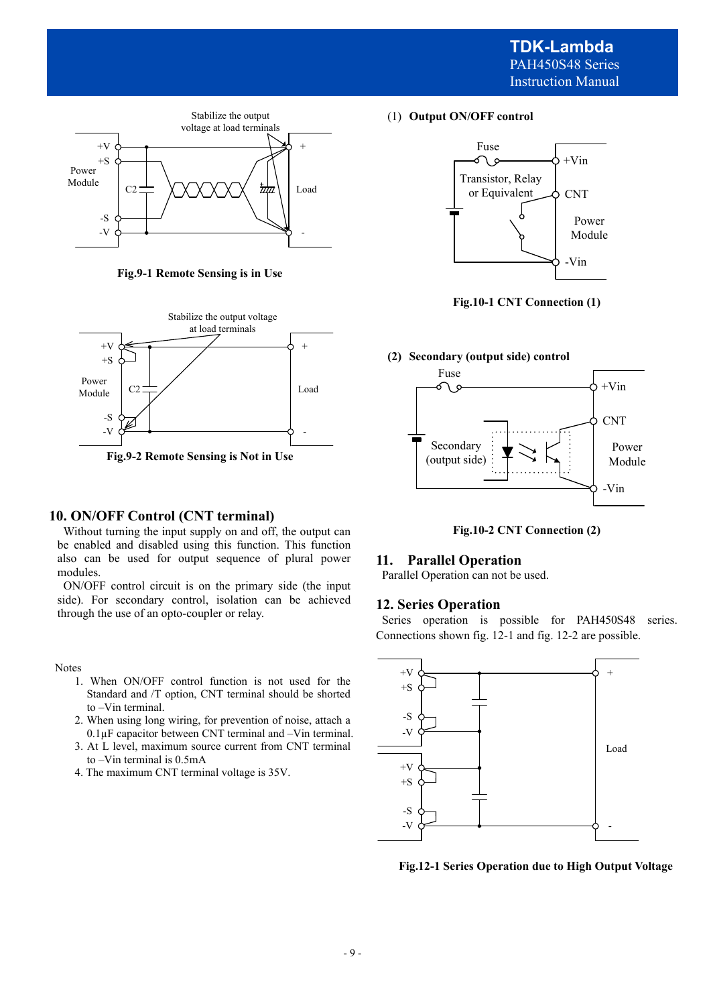

**Fig.9-1 Remote Sensing is in Use** 



#### **10. ON/OFF Control (CNT terminal)**

 Without turning the input supply on and off, the output can be enabled and disabled using this function. This function also can be used for output sequence of plural power modules.

 ON/OFF control circuit is on the primary side (the input side). For secondary control, isolation can be achieved through the use of an opto-coupler or relay.

Notes

- 1. When ON/OFF control function is not used for the Standard and /T option, CNT terminal should be shorted to –Vin terminal.
- 2. When using long wiring, for prevention of noise, attach a 0.1µF capacitor between CNT terminal and –Vin terminal.
- 3. At L level, maximum source current from CNT terminal to –Vin terminal is 0.5mA
- 4. The maximum CNT terminal voltage is 35V.

(1) **Output ON/OFF control**



**Fig.10-1 CNT Connection (1)** 



**Fig.10-2 CNT Connection (2)** 

### **11. Parallel Operation**

Parallel Operation can not be used.

#### **12. Series Operation**

 Series operation is possible for PAH450S48 series. Connections shown fig. 12-1 and fig. 12-2 are possible.



**Fig.12-1 Series Operation due to High Output Voltage**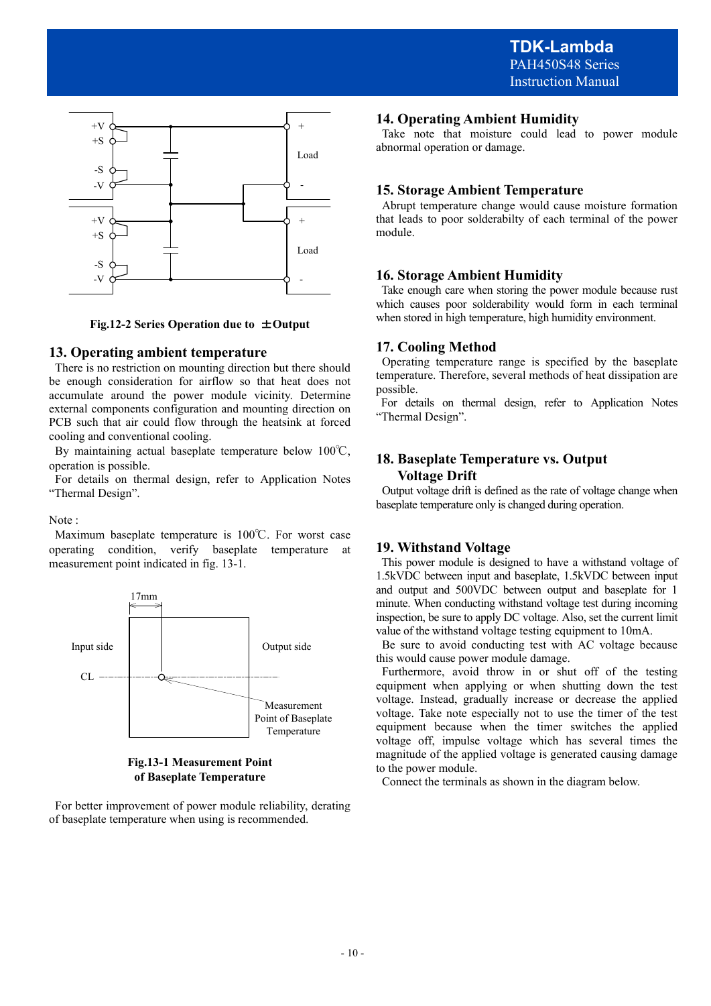

**Fig.12-2 Series Operation due to** ±**Output** 

### **13. Operating ambient temperature**

 There is no restriction on mounting direction but there should be enough consideration for airflow so that heat does not accumulate around the power module vicinity. Determine external components configuration and mounting direction on PCB such that air could flow through the heatsink at forced cooling and conventional cooling.

 By maintaining actual baseplate temperature below 100℃, operation is possible.

 For details on thermal design, refer to Application Notes "Thermal Design".

#### Note :

 Maximum baseplate temperature is 100℃. For worst case operating condition, verify baseplate temperature at measurement point indicated in fig. 13-1.



#### **Fig.13-1 Measurement Point of Baseplate Temperature**

 For better improvement of power module reliability, derating of baseplate temperature when using is recommended.

## **14. Operating Ambient Humidity**

 Take note that moisture could lead to power module abnormal operation or damage.

## **15. Storage Ambient Temperature**

 Abrupt temperature change would cause moisture formation that leads to poor solderabilty of each terminal of the power module.

### **16. Storage Ambient Humidity**

 Take enough care when storing the power module because rust which causes poor solderability would form in each terminal when stored in high temperature, high humidity environment.

### **17. Cooling Method**

 Operating temperature range is specified by the baseplate temperature. Therefore, several methods of heat dissipation are possible.

 For details on thermal design, refer to Application Notes "Thermal Design".

### **18. Baseplate Temperature vs. Output Voltage Drift**

 Output voltage drift is defined as the rate of voltage change when baseplate temperature only is changed during operation.

## **19. Withstand Voltage**

 This power module is designed to have a withstand voltage of 1.5kVDC between input and baseplate, 1.5kVDC between input and output and 500VDC between output and baseplate for 1 minute. When conducting withstand voltage test during incoming inspection, be sure to apply DC voltage. Also, set the current limit value of the withstand voltage testing equipment to 10mA.

 Be sure to avoid conducting test with AC voltage because this would cause power module damage.

 Furthermore, avoid throw in or shut off of the testing equipment when applying or when shutting down the test voltage. Instead, gradually increase or decrease the applied voltage. Take note especially not to use the timer of the test equipment because when the timer switches the applied voltage off, impulse voltage which has several times the magnitude of the applied voltage is generated causing damage to the power module.

Connect the terminals as shown in the diagram below.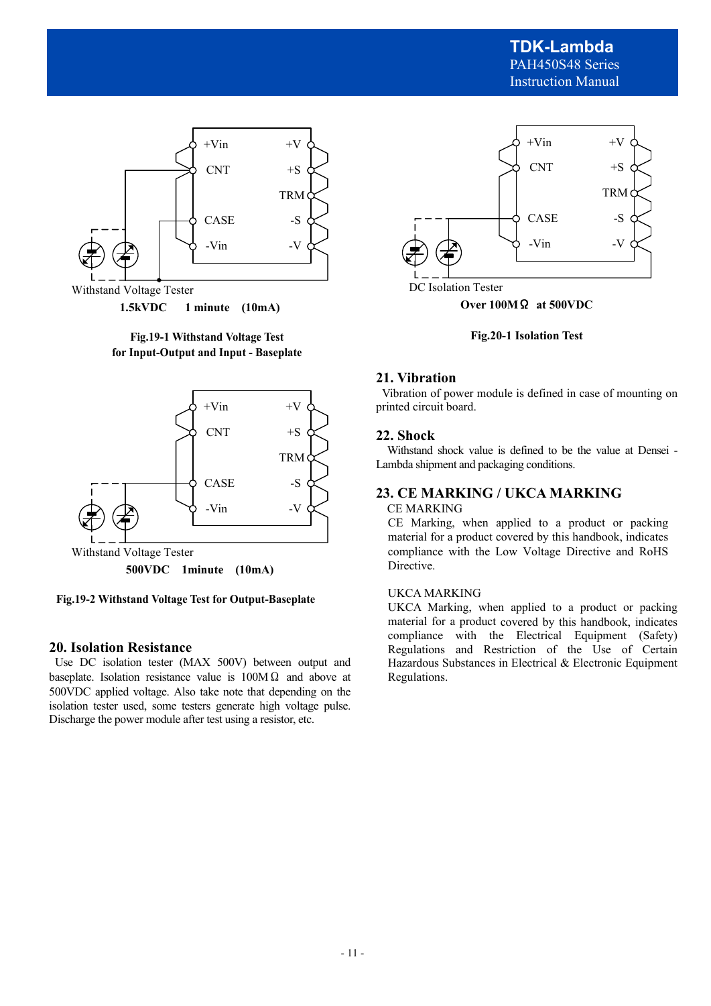

Withstand Voltage Tester

**1.5kVDC 1 minute (10mA)** 

**Fig.19-1 Withstand Voltage Test for Input-Output and Input - Baseplate** 



**Fig.19-2 Withstand Voltage Test for Output-Baseplate** 

## **20. Isolation Resistance**

 Use DC isolation tester (MAX 500V) between output and baseplate. Isolation resistance value is  $100M\Omega$  and above at 500VDC applied voltage. Also take note that depending on the isolation tester used, some testers generate high voltage pulse. Discharge the power module after test using a resistor, etc.



DC Isolation Tester

**Over 100M**Ω **at 500VDC** 

**Fig.20-1 Isolation Test** 

## **21. Vibration**

 Vibration of power module is defined in case of mounting on printed circuit board.

## **22. Shock**

 Withstand shock value is defined to be the value at Densei - Lambda shipment and packaging conditions.

## **23. CE MARKING / UKCA MARKING**

### CE MARKING

CE Marking, when applied to a product or packing material for a product covered by this handbook, indicates compliance with the Low Voltage Directive and RoHS Directive.

#### UKCA MARKING

UKCA Marking, when applied to a product or packing material for a product covered by this handbook, indicates compliance with the Electrical Equipment (Safety) Regulations and Restriction of the Use of Certain Hazardous Substances in Electrical & Electronic Equipment Regulations.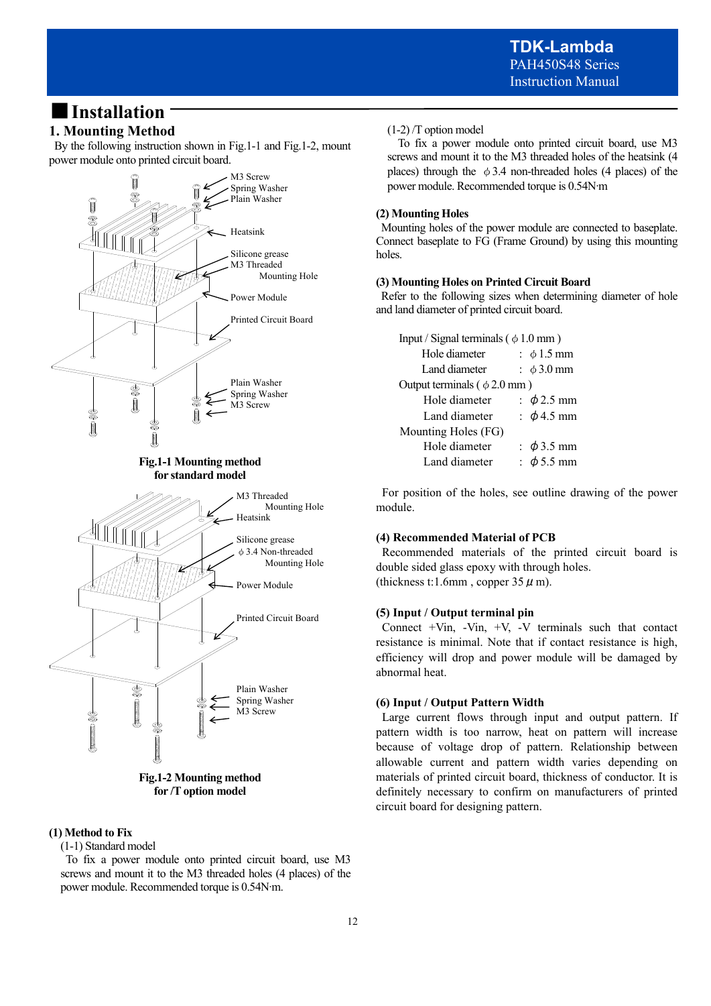## ■**Installation**

## **1. Mounting Method**

 By the following instruction shown in Fig.1-1 and Fig.1-2, mount power module onto printed circuit board.



#### **(1) Method to Fix**

(1-1) Standard model

 To fix a power module onto printed circuit board, use M3 screws and mount it to the M3 threaded holes (4 places) of the power module. Recommended torque is 0.54N∙m.

#### (1-2) /T option model

 To fix a power module onto printed circuit board, use M3 screws and mount it to the M3 threaded holes of the heatsink (4 places) through the  $\phi$  3.4 non-threaded holes (4 places) of the power module. Recommended torque is 0.54N∙m

#### **(2) Mounting Holes**

 Mounting holes of the power module are connected to baseplate. Connect baseplate to FG (Frame Ground) by using this mounting holes.

#### **(3) Mounting Holes on Printed Circuit Board**

 Refer to the following sizes when determining diameter of hole and land diameter of printed circuit board.

| Input / Signal terminals ( $\phi$ 1.0 mm) |                 |  |  |  |  |
|-------------------------------------------|-----------------|--|--|--|--|
|                                           | : $\phi$ 1.5 mm |  |  |  |  |
|                                           | : $\phi$ 3.0 mm |  |  |  |  |
| Output terminals ( $\phi$ 2.0 mm)         |                 |  |  |  |  |
|                                           | : $\phi$ 2.5 mm |  |  |  |  |
|                                           | : $\phi$ 4.5 mm |  |  |  |  |
| Mounting Holes (FG)                       |                 |  |  |  |  |
|                                           | : $\phi$ 3.5 mm |  |  |  |  |
|                                           | : $\phi$ 5.5 mm |  |  |  |  |
|                                           |                 |  |  |  |  |

 For position of the holes, see outline drawing of the power module.

#### **(4) Recommended Material of PCB**

 Recommended materials of the printed circuit board is double sided glass epoxy with through holes. (thickness t:1.6mm, copper  $35 \mu$  m).

#### **(5) Input / Output terminal pin**

Connect  $+V$ in,  $-V$ in,  $+V$ ,  $-V$  terminals such that contact resistance is minimal. Note that if contact resistance is high, efficiency will drop and power module will be damaged by abnormal heat.

#### **(6) Input / Output Pattern Width**

 Large current flows through input and output pattern. If pattern width is too narrow, heat on pattern will increase because of voltage drop of pattern. Relationship between allowable current and pattern width varies depending on materials of printed circuit board, thickness of conductor. It is definitely necessary to confirm on manufacturers of printed circuit board for designing pattern.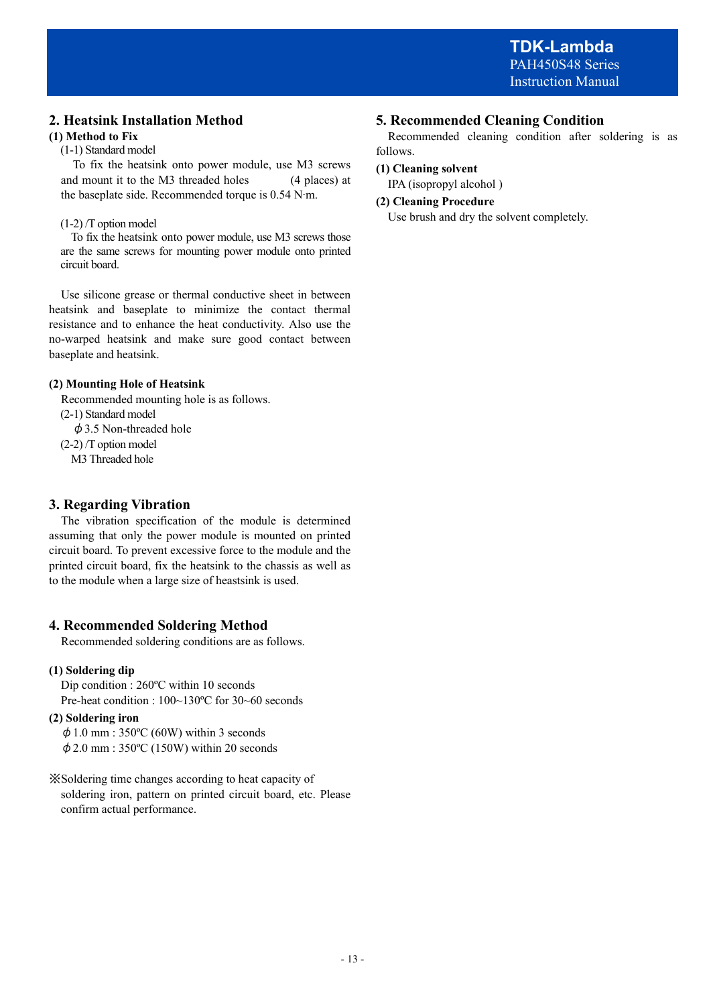## **2. Heatsink Installation Method**

## **(1) Method to Fix**

(1-1) Standard model

 To fix the heatsink onto power module, use M3 screws and mount it to the M3 threaded holes (4 places) at the baseplate side. Recommended torque is 0.54 N∙m.

## (1-2) /T option model

 To fix the heatsink onto power module, use M3 screws those are the same screws for mounting power module onto printed circuit board.

 Use silicone grease or thermal conductive sheet in between heatsink and baseplate to minimize the contact thermal resistance and to enhance the heat conductivity. Also use the no-warped heatsink and make sure good contact between baseplate and heatsink.

## **(2) Mounting Hole of Heatsink**

Recommended mounting hole is as follows.

(2-1) Standard model

 $\phi$  3.5 Non-threaded hole

(2-2) /T option model

M3 Threaded hole

## **3. Regarding Vibration**

 The vibration specification of the module is determined assuming that only the power module is mounted on printed circuit board. To prevent excessive force to the module and the printed circuit board, fix the heatsink to the chassis as well as to the module when a large size of heastsink is used.

## **4. Recommended Soldering Method**

Recommended soldering conditions are as follows.

## **(1) Soldering dip**

Dip condition : 260ºC within 10 seconds Pre-heat condition : 100~130ºC for 30~60 seconds

## **(2) Soldering iron**

 $\phi$  1.0 mm : 350°C (60W) within 3 seconds  $\phi$  2.0 mm : 350°C (150W) within 20 seconds

※Soldering time changes according to heat capacity of soldering iron, pattern on printed circuit board, etc. Please confirm actual performance.

## **5. Recommended Cleaning Condition**

 Recommended cleaning condition after soldering is as follows.

### **(1) Cleaning solvent**

IPA (isopropyl alcohol )

## **(2) Cleaning Procedure**

Use brush and dry the solvent completely.